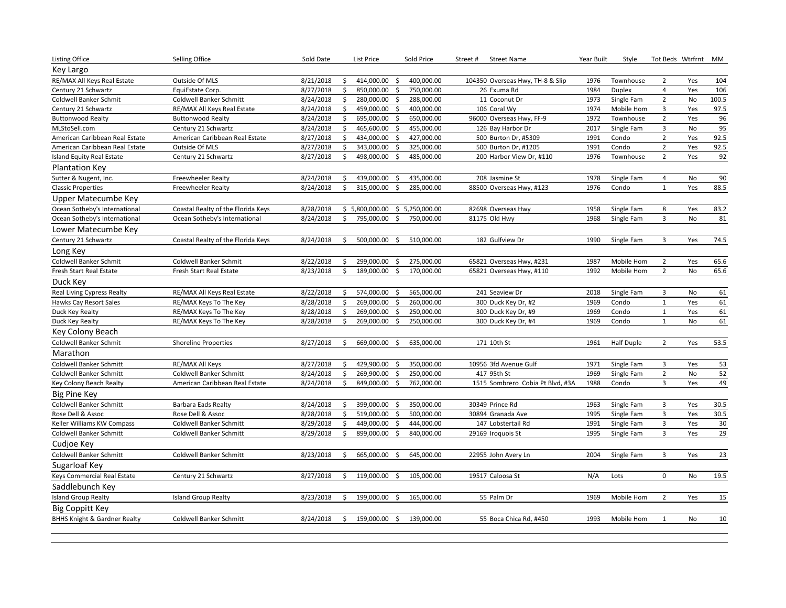| <b>Listing Office</b>                   | Selling Office                     | Sold Date |    | List Price                        | Sold Price     | Street#<br><b>Street Name</b>    | Year Built | Style             | Tot Beds Wtrfrnt |     | МM     |
|-----------------------------------------|------------------------------------|-----------|----|-----------------------------------|----------------|----------------------------------|------------|-------------------|------------------|-----|--------|
| Key Largo                               |                                    |           |    |                                   |                |                                  |            |                   |                  |     |        |
| RE/MAX All Keys Real Estate             | Outside Of MLS                     | 8/21/2018 | \$ | 414,000.00<br>\$                  | 400,000.00     | 104350 Overseas Hwy, TH-8 & Slip | 1976       | Townhouse         | $\overline{2}$   | Yes | 104    |
| Century 21 Schwartz                     | EquiEstate Corp.                   | 8/27/2018 | \$ | 850,000.00<br>\$                  | 750,000.00     | 26 Exuma Rd                      | 1984       | <b>Duplex</b>     | $\overline{4}$   | Yes | 106    |
| Coldwell Banker Schmit                  | <b>Coldwell Banker Schmitt</b>     | 8/24/2018 | \$ | 280,000.00<br>\$                  | 288,000.00     | 11 Coconut Dr                    | 1973       | Single Fam        | $\overline{2}$   | No  | 100.5  |
| Century 21 Schwartz                     | RE/MAX All Keys Real Estate        | 8/24/2018 | \$ | 459,000.00<br>\$                  | 400,000.00     | 106 Coral Wy                     | 1974       | Mobile Hom        | 3                | Yes | 97.5   |
| <b>Buttonwood Realty</b>                | <b>Buttonwood Realty</b>           | 8/24/2018 | \$ | 695,000.00<br>\$                  | 650,000.00     | 96000 Overseas Hwy, FF-9         | 1972       | Townhouse         | $\overline{2}$   | Yes | 96     |
| MLStoSell.com                           | Century 21 Schwartz                | 8/24/2018 | \$ | 465,600.00<br>\$                  | 455,000.00     | 126 Bay Harbor Dr                | 2017       | Single Fam        | 3                | No  | 95     |
| American Caribbean Real Estate          | American Caribbean Real Estate     | 8/27/2018 | \$ | 434,000.00<br>\$                  | 427,000.00     | 500 Burton Dr, #5309             | 1991       | Condo             | $\overline{2}$   | Yes | 92.5   |
| American Caribbean Real Estate          | Outside Of MLS                     | 8/27/2018 | \$ | 343,000.00<br>\$                  | 325,000.00     | 500 Burton Dr, #1205             | 1991       | Condo             | $\overline{2}$   | Yes | 92.5   |
| Island Equity Real Estate               | Century 21 Schwartz                | 8/27/2018 | \$ | 498,000.00<br>\$                  | 485,000.00     | 200 Harbor View Dr, #110         | 1976       | Townhouse         | $\overline{2}$   | Yes | 92     |
| Plantation Key                          |                                    |           |    |                                   |                |                                  |            |                   |                  |     |        |
| Sutter & Nugent, Inc.                   | <b>Freewheeler Realty</b>          | 8/24/2018 | \$ | 439,000.00<br>Ŝ.                  | 435,000.00     | 208 Jasmine St                   | 1978       | Single Fam        | $\overline{4}$   | No  | 90     |
| <b>Classic Properties</b>               | <b>Freewheeler Realty</b>          | 8/24/2018 | \$ | \$<br>315,000.00                  | 285,000.00     | 88500 Overseas Hwy, #123         | 1976       | Condo             | $\mathbf{1}$     | Yes | 88.5   |
| Upper Matecumbe Key                     |                                    |           |    |                                   |                |                                  |            |                   |                  |     |        |
| Ocean Sotheby's International           | Coastal Realty of the Florida Keys | 8/28/2018 |    | \$5,800,000.00                    | \$5,250,000.00 | 82698 Overseas Hwy               | 1958       | Single Fam        | 8                | Yes | 83.2   |
| Ocean Sotheby's International           | Ocean Sotheby's International      | 8/24/2018 | \$ | 795,000.00<br>\$                  | 750,000.00     | 81175 Old Hwy                    | 1968       | Single Fam        | $\overline{3}$   | No  | 81     |
| Lower Matecumbe Key                     |                                    |           |    |                                   |                |                                  |            |                   |                  |     |        |
| Century 21 Schwartz                     | Coastal Realty of the Florida Keys | 8/24/2018 | Ŝ. | 500,000.00<br>\$                  | 510,000.00     | 182 Gulfview Dr                  | 1990       | Single Fam        | 3                | Yes | 74.5   |
| Long Key                                |                                    |           |    |                                   |                |                                  |            |                   |                  |     |        |
| Coldwell Banker Schmit                  | Coldwell Banker Schmit             | 8/22/2018 | \$ | 299,000.00<br>\$                  | 275,000.00     | 65821 Overseas Hwy, #231         | 1987       | Mobile Hom        | $\overline{2}$   | Yes | 65.6   |
| Fresh Start Real Estate                 | Fresh Start Real Estate            | 8/23/2018 | \$ | 189,000.00<br>\$                  | 170,000.00     | 65821 Overseas Hwy, #110         | 1992       | Mobile Hom        | $\overline{2}$   | No  | 65.6   |
| Duck Key                                |                                    |           |    |                                   |                |                                  |            |                   |                  |     |        |
| <b>Real Living Cypress Realty</b>       | RE/MAX All Keys Real Estate        | 8/22/2018 | \$ | 574,000.00<br>S.                  | 565,000.00     | 241 Seaview Dr                   | 2018       | Single Fam        | 3                | No  | 61     |
| Hawks Cay Resort Sales                  | RE/MAX Keys To The Key             | 8/28/2018 | \$ | 269,000.00<br>\$                  | 260,000.00     | 300 Duck Key Dr, #2              | 1969       | Condo             | $1\,$            | Yes | 61     |
| Duck Key Realty                         | RE/MAX Keys To The Key             | 8/28/2018 | \$ | 269,000.00<br>-\$                 | 250,000.00     | 300 Duck Key Dr, #9              | 1969       | Condo             | $\mathbf{1}$     | Yes | 61     |
| Duck Key Realty                         | RE/MAX Keys To The Key             | 8/28/2018 | \$ | 269,000.00<br>-\$                 | 250,000.00     | 300 Duck Key Dr, #4              | 1969       | Condo             | $\mathbf{1}$     | No  | 61     |
| Key Colony Beach                        |                                    |           |    |                                   |                |                                  |            |                   |                  |     |        |
| Coldwell Banker Schmit                  | <b>Shoreline Properties</b>        | 8/27/2018 | \$ | 669,000.00<br>\$                  | 635,000.00     | 171 10th St                      | 1961       | <b>Half Duple</b> | $\overline{2}$   | Yes | 53.5   |
| Marathon                                |                                    |           |    |                                   |                |                                  |            |                   |                  |     |        |
| Coldwell Banker Schmitt                 | RE/MAX All Keys                    | 8/27/2018 | \$ | 429,900.00<br>$\ddot{\mathsf{S}}$ | 350,000.00     | 10956 3fd Avenue Gulf            | 1971       | Single Fam        | 3                | Yes | 53     |
| Coldwell Banker Schmitt                 | Coldwell Banker Schmitt            | 8/24/2018 | \$ | 269,900.00<br>\$                  | 250,000.00     | 417 95th St                      | 1969       | Single Fam        | $\overline{2}$   | No  | 52     |
| Key Colony Beach Realty                 | American Caribbean Real Estate     | 8/24/2018 | \$ | 849,000.00<br>\$                  | 762,000.00     | 1515 Sombrero Cobia Pt Blvd, #3A | 1988       | Condo             | 3                | Yes | 49     |
| <b>Big Pine Key</b>                     |                                    |           |    |                                   |                |                                  |            |                   |                  |     |        |
| Coldwell Banker Schmitt                 | <b>Barbara Eads Realty</b>         | 8/24/2018 | Ŝ. | 399,000.00<br>S.                  | 350,000.00     | 30349 Prince Rd                  | 1963       | Single Fam        | 3                | Yes | 30.5   |
| Rose Dell & Assoc                       | Rose Dell & Assoc                  | 8/28/2018 | \$ | 519,000.00<br>\$                  | 500,000.00     | 30894 Granada Ave                | 1995       | Single Fam        | 3                | Yes | 30.5   |
| Keller Williams KW Compass              | Coldwell Banker Schmitt            | 8/29/2018 | \$ | 449,000.00<br>\$                  | 444,000.00     | 147 Lobstertail Rd               | 1991       | Single Fam        | $\mathsf 3$      | Yes | 30     |
| Coldwell Banker Schmitt                 | <b>Coldwell Banker Schmitt</b>     | 8/29/2018 | \$ | 899,000.00<br>\$                  | 840,000.00     | 29169 Iroquois St                | 1995       | Single Fam        | 3                | Yes | 29     |
| Cudjoe Key                              |                                    |           |    |                                   |                |                                  |            |                   |                  |     |        |
| Coldwell Banker Schmitt                 | Coldwell Banker Schmitt            | 8/23/2018 | \$ | 665,000.00<br>\$                  | 645,000.00     | 22955 John Avery Ln              | 2004       | Single Fam        | 3                | Yes | $23\,$ |
| Sugarloaf Key                           |                                    |           |    |                                   |                |                                  |            |                   |                  |     |        |
| Keys Commercial Real Estate             | Century 21 Schwartz                | 8/27/2018 | \$ | 119,000.00<br>-\$                 | 105,000.00     | 19517 Caloosa St                 | N/A        | Lots              | $\mathbf 0$      | No  | 19.5   |
| Saddlebunch Key                         |                                    |           |    |                                   |                |                                  |            |                   |                  |     |        |
| <b>Island Group Realty</b>              | <b>Island Group Realty</b>         | 8/23/2018 | \$ | 199,000.00<br>\$                  | 165,000.00     | 55 Palm Dr                       | 1969       | Mobile Hom        | $\overline{2}$   | Yes | 15     |
| <b>Big Coppitt Key</b>                  |                                    |           |    |                                   |                |                                  |            |                   |                  |     |        |
| <b>BHHS Knight &amp; Gardner Realty</b> | <b>Coldwell Banker Schmitt</b>     | 8/24/2018 | Ŝ. | 159,000.00 \$                     | 139,000.00     | 55 Boca Chica Rd, #450           | 1993       | Mobile Hom        | $\mathbf{1}$     | No  | 10     |
|                                         |                                    |           |    |                                   |                |                                  |            |                   |                  |     |        |